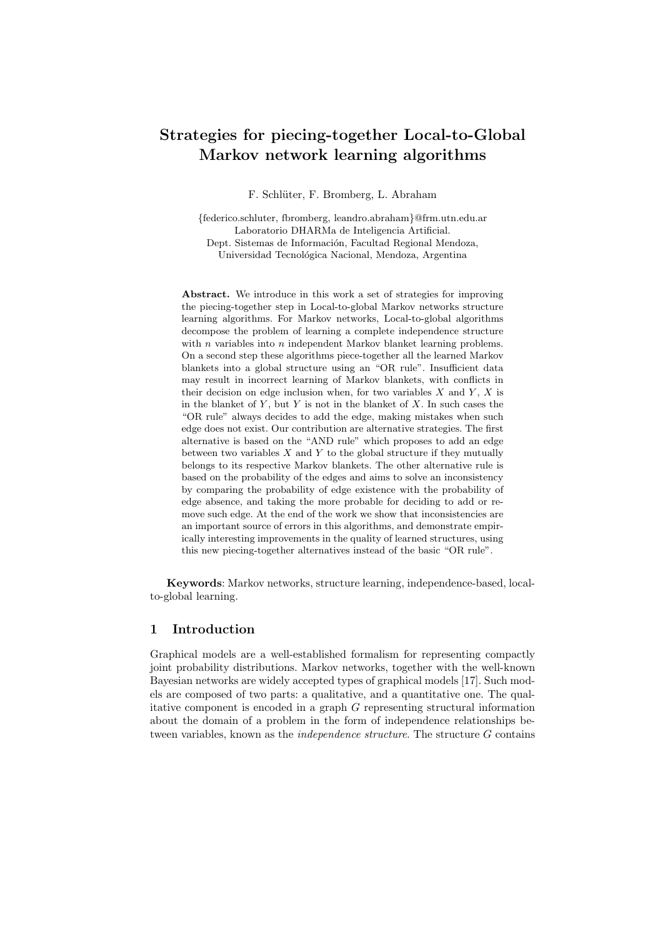# **Strategies for piecing-together Local-to-Global Markov network learning algorithms**

F. Schlüter, F. Bromberg, L. Abraham

*{*federico.schluter, fbromberg, leandro.abraham*}*@frm.utn.edu.ar Laboratorio DHARMa de Inteligencia Artificial. Dept. Sistemas de Información, Facultad Regional Mendoza, Universidad Tecnológica Nacional, Mendoza, Argentina

**Abstract.** We introduce in this work a set of strategies for improving the piecing-together step in Local-to-global Markov networks structure learning algorithms. For Markov networks, Local-to-global algorithms decompose the problem of learning a complete independence structure with *n* variables into *n* independent Markov blanket learning problems. On a second step these algorithms piece-together all the learned Markov blankets into a global structure using an "OR rule". Insufficient data may result in incorrect learning of Markov blankets, with conflicts in their decision on edge inclusion when, for two variables *X* and *Y* , *X* is in the blanket of *Y* , but *Y* is not in the blanket of *X*. In such cases the "OR rule" always decides to add the edge, making mistakes when such edge does not exist. Our contribution are alternative strategies. The first alternative is based on the "AND rule" which proposes to add an edge between two variables *X* and *Y* to the global structure if they mutually belongs to its respective Markov blankets. The other alternative rule is based on the probability of the edges and aims to solve an inconsistency by comparing the probability of edge existence with the probability of edge absence, and taking the more probable for deciding to add or remove such edge. At the end of the work we show that inconsistencies are an important source of errors in this algorithms, and demonstrate empirically interesting improvements in the quality of learned structures, using this new piecing-together alternatives instead of the basic "OR rule".

**Keywords**: Markov networks, structure learning, independence-based, localto-global learning.

# **1 Introduction**

Graphical models are a well-established formalism for representing compactly joint probability distributions. Markov networks, together with the well-known Bayesian networks are widely accepted types of graphical models [17]. Such models are composed of two parts: a qualitative, and a quantitative one. The qualitative component is encoded in a graph *G* representing structural information about the domain of a problem in the form of independence relationships between variables, known as the *independence structure*. The structure *G* contains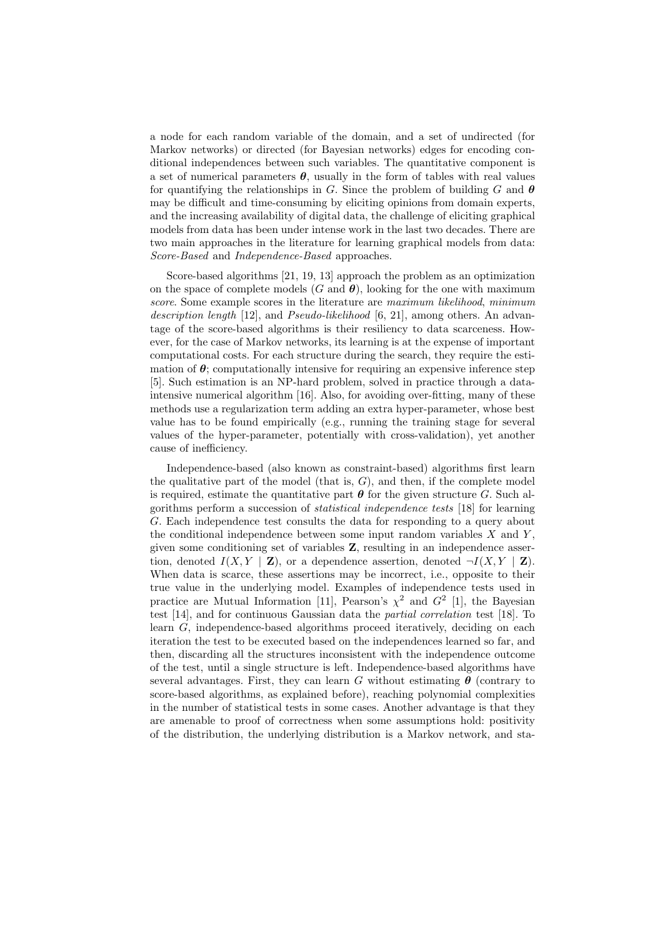a node for each random variable of the domain, and a set of undirected (for Markov networks) or directed (for Bayesian networks) edges for encoding conditional independences between such variables. The quantitative component is a set of numerical parameters  $\theta$ , usually in the form of tables with real values for quantifying the relationships in *G*. Since the problem of building *G* and  $\theta$ may be difficult and time-consuming by eliciting opinions from domain experts, and the increasing availability of digital data, the challenge of eliciting graphical models from data has been under intense work in the last two decades. There are two main approaches in the literature for learning graphical models from data: *Score-Based* and *Independence-Based* approaches.

Score-based algorithms [21, 19, 13] approach the problem as an optimization on the space of complete models  $(G \text{ and } \theta)$ , looking for the one with maximum *score*. Some example scores in the literature are *maximum likelihood*, *minimum description length* [12], and *Pseudo-likelihood* [6, 21], among others. An advantage of the score-based algorithms is their resiliency to data scarceness. However, for the case of Markov networks, its learning is at the expense of important computational costs. For each structure during the search, they require the estimation of  $\theta$ ; computationally intensive for requiring an expensive inference step [5]. Such estimation is an NP-hard problem, solved in practice through a dataintensive numerical algorithm [16]. Also, for avoiding over-fitting, many of these methods use a regularization term adding an extra hyper-parameter, whose best value has to be found empirically (e.g., running the training stage for several values of the hyper-parameter, potentially with cross-validation), yet another cause of inefficiency.

Independence-based (also known as constraint-based) algorithms first learn the qualitative part of the model (that is,  $G$ ), and then, if the complete model is required, estimate the quantitative part  $\theta$  for the given structure *G*. Such algorithms perform a succession of *statistical independence tests* [18] for learning *G*. Each independence test consults the data for responding to a query about the conditional independence between some input random variables *X* and *Y* , given some conditioning set of variables **Z**, resulting in an independence assertion, denoted  $I(X, Y | \mathbf{Z})$ , or a dependence assertion, denoted  $\neg I(X, Y | \mathbf{Z})$ . When data is scarce, these assertions may be incorrect, i.e., opposite to their true value in the underlying model. Examples of independence tests used in practice are Mutual Information [11], Pearson's  $\chi^2$  and  $G^2$  [1], the Bayesian test [14], and for continuous Gaussian data the *partial correlation* test [18]. To learn *G*, independence-based algorithms proceed iteratively, deciding on each iteration the test to be executed based on the independences learned so far, and then, discarding all the structures inconsistent with the independence outcome of the test, until a single structure is left. Independence-based algorithms have several advantages. First, they can learn *G* without estimating  $\theta$  (contrary to score-based algorithms, as explained before), reaching polynomial complexities in the number of statistical tests in some cases. Another advantage is that they are amenable to proof of correctness when some assumptions hold: positivity of the distribution, the underlying distribution is a Markov network, and sta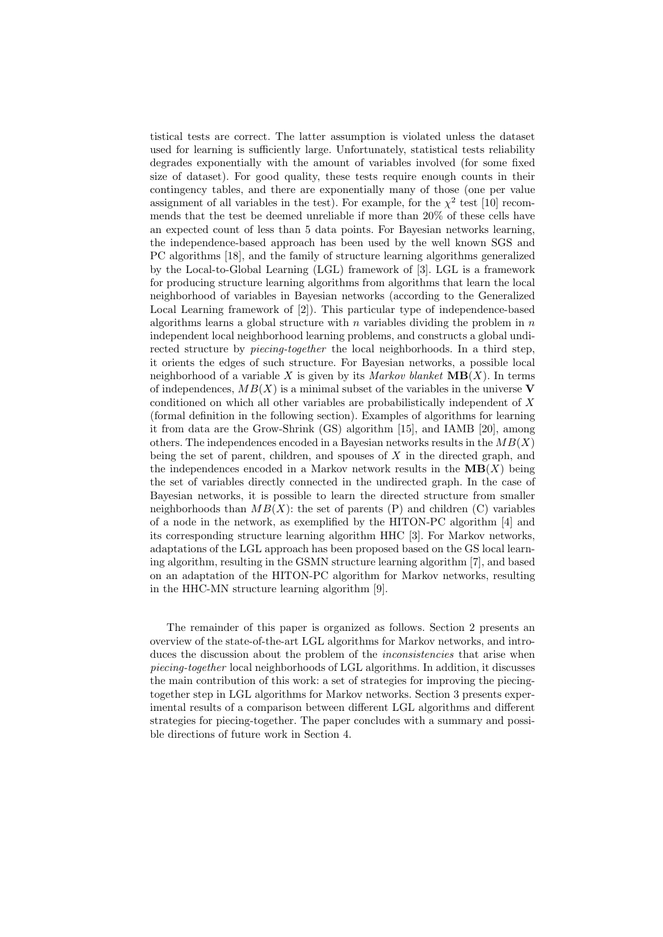tistical tests are correct. The latter assumption is violated unless the dataset used for learning is sufficiently large. Unfortunately, statistical tests reliability degrades exponentially with the amount of variables involved (for some fixed size of dataset). For good quality, these tests require enough counts in their contingency tables, and there are exponentially many of those (one per value assignment of all variables in the test). For example, for the  $\chi^2$  test [10] recommends that the test be deemed unreliable if more than 20% of these cells have an expected count of less than 5 data points. For Bayesian networks learning, the independence-based approach has been used by the well known SGS and PC algorithms [18], and the family of structure learning algorithms generalized by the Local-to-Global Learning (LGL) framework of [3]. LGL is a framework for producing structure learning algorithms from algorithms that learn the local neighborhood of variables in Bayesian networks (according to the Generalized Local Learning framework of [2]). This particular type of independence-based algorithms learns a global structure with *n* variables dividing the problem in *n* independent local neighborhood learning problems, and constructs a global undirected structure by *piecing-together* the local neighborhoods. In a third step, it orients the edges of such structure. For Bayesian networks, a possible local neighborhood of a variable *X* is given by its *Markov blanket*  $\textbf{MB}(X)$ . In terms of independences,  $MB(X)$  is a minimal subset of the variables in the universe **V** conditioned on which all other variables are probabilistically independent of *X* (formal definition in the following section). Examples of algorithms for learning it from data are the Grow-Shrink (GS) algorithm [15], and IAMB [20], among others. The independences encoded in a Bayesian networks results in the *MB*(*X*) being the set of parent, children, and spouses of *X* in the directed graph, and the independences encoded in a Markov network results in the  $MB(X)$  being the set of variables directly connected in the undirected graph. In the case of Bayesian networks, it is possible to learn the directed structure from smaller neighborhoods than  $MB(X)$ : the set of parents (P) and children (C) variables of a node in the network, as exemplified by the HITON-PC algorithm [4] and its corresponding structure learning algorithm HHC [3]. For Markov networks, adaptations of the LGL approach has been proposed based on the GS local learning algorithm, resulting in the GSMN structure learning algorithm [7], and based on an adaptation of the HITON-PC algorithm for Markov networks, resulting in the HHC-MN structure learning algorithm [9].

The remainder of this paper is organized as follows. Section 2 presents an overview of the state-of-the-art LGL algorithms for Markov networks, and introduces the discussion about the problem of the *inconsistencies* that arise when *piecing-together* local neighborhoods of LGL algorithms. In addition, it discusses the main contribution of this work: a set of strategies for improving the piecingtogether step in LGL algorithms for Markov networks. Section 3 presents experimental results of a comparison between different LGL algorithms and different strategies for piecing-together. The paper concludes with a summary and possible directions of future work in Section 4.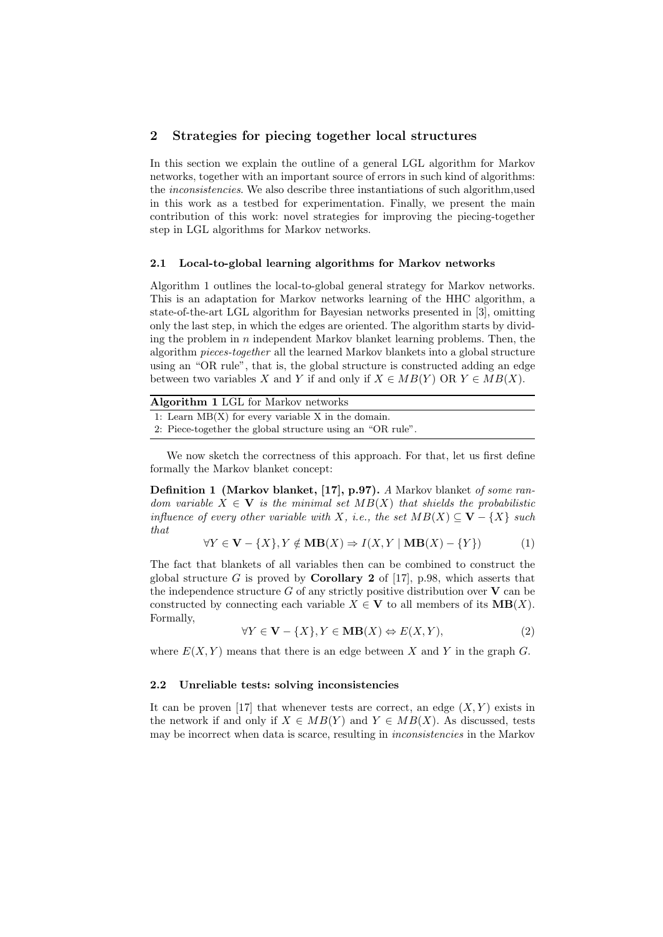## **2 Strategies for piecing together local structures**

In this section we explain the outline of a general LGL algorithm for Markov networks, together with an important source of errors in such kind of algorithms: the *inconsistencies*. We also describe three instantiations of such algorithm,used in this work as a testbed for experimentation. Finally, we present the main contribution of this work: novel strategies for improving the piecing-together step in LGL algorithms for Markov networks.

#### **2.1 Local-to-global learning algorithms for Markov networks**

Algorithm 1 outlines the local-to-global general strategy for Markov networks. This is an adaptation for Markov networks learning of the HHC algorithm, a state-of-the-art LGL algorithm for Bayesian networks presented in [3], omitting only the last step, in which the edges are oriented. The algorithm starts by dividing the problem in *n* independent Markov blanket learning problems. Then, the algorithm *pieces-together* all the learned Markov blankets into a global structure using an "OR rule", that is, the global structure is constructed adding an edge between two variables *X* and *Y* if and only if  $X \in MB(Y)$  OR  $Y \in MB(X)$ .

| Algorithm 1 LGL for Markov networks                        |
|------------------------------------------------------------|
| 1: Learn $MB(X)$ for every variable X in the domain.       |
| 2. Piece-together the global structure using an "OR rule". |

We now sketch the correctness of this approach. For that, let us first define formally the Markov blanket concept:

**Definition 1 (Markov blanket, [17], p.97).** *A* Markov blanket *of some random variable*  $X \in \mathbf{V}$  *is the minimal set*  $MB(X)$  *that shields the probabilistic influence of every other variable with X, i.e., the set*  $MB(X) \subseteq V - \{X\}$  *such that*

$$
\forall Y \in \mathbf{V} - \{X\}, Y \notin \mathbf{MB}(X) \Rightarrow I(X, Y \mid \mathbf{MB}(X) - \{Y\})
$$
(1)

The fact that blankets of all variables then can be combined to construct the global structure  $G$  is proved by **Corollary 2** of [17], p.98, which asserts that the independence structure  $G$  of any strictly positive distribution over  $V$  can be constructed by connecting each variable  $X \in V$  to all members of its  $MB(X)$ . Formally,

$$
\forall Y \in \mathbf{V} - \{X\}, Y \in \mathbf{MB}(X) \Leftrightarrow E(X, Y), \tag{2}
$$

where  $E(X, Y)$  means that there is an edge between X and Y in the graph G.

#### **2.2 Unreliable tests: solving inconsistencies**

It can be proven [17] that whenever tests are correct, an edge  $(X, Y)$  exists in the network if and only if  $X \in MB(Y)$  and  $Y \in MB(X)$ . As discussed, tests may be incorrect when data is scarce, resulting in *inconsistencies* in the Markov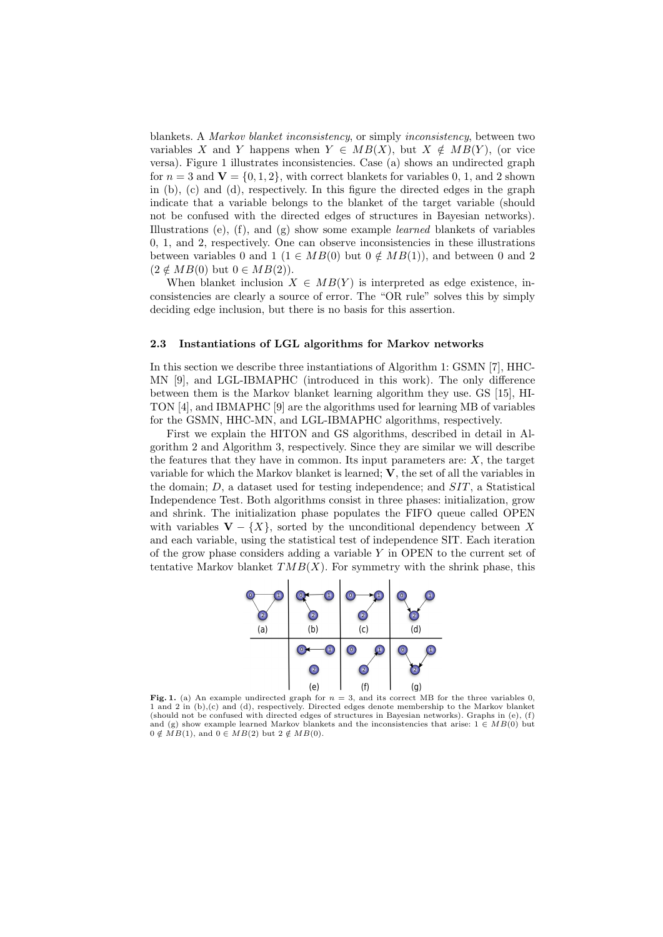blankets. A *Markov blanket inconsistency*, or simply *inconsistency*, between two variables *X* and *Y* happens when  $Y \in MB(X)$ , but  $X \notin MB(Y)$ , (or vice versa). Figure 1 illustrates inconsistencies. Case (a) shows an undirected graph for  $n = 3$  and  $V = \{0, 1, 2\}$ , with correct blankets for variables 0, 1, and 2 shown in (b), (c) and (d), respectively. In this figure the directed edges in the graph indicate that a variable belongs to the blanket of the target variable (should not be confused with the directed edges of structures in Bayesian networks). Illustrations (e), (f), and (g) show some example *learned* blankets of variables 0, 1, and 2, respectively. One can observe inconsistencies in these illustrations between variables 0 and 1 ( $1 \in MB(0)$  but  $0 \notin MB(1)$ ), and between 0 and 2  $(2 \notin MB(0)$  but  $0 \in MB(2)$ ).

When blanket inclusion  $X \in MB(Y)$  is interpreted as edge existence, inconsistencies are clearly a source of error. The "OR rule" solves this by simply deciding edge inclusion, but there is no basis for this assertion.

#### **2.3 Instantiations of LGL algorithms for Markov networks**

In this section we describe three instantiations of Algorithm 1: GSMN [7], HHC-MN [9], and LGL-IBMAPHC (introduced in this work). The only difference between them is the Markov blanket learning algorithm they use. GS [15], HI-TON [4], and IBMAPHC [9] are the algorithms used for learning MB of variables for the GSMN, HHC-MN, and LGL-IBMAPHC algorithms, respectively.

First we explain the HITON and GS algorithms, described in detail in Algorithm 2 and Algorithm 3, respectively. Since they are similar we will describe the features that they have in common. Its input parameters are:  $X$ , the target variable for which the Markov blanket is learned; **V**, the set of all the variables in the domain; *D*, a dataset used for testing independence; and *SIT*, a Statistical Independence Test. Both algorithms consist in three phases: initialization, grow and shrink. The initialization phase populates the FIFO queue called OPEN with variables  $V - \{X\}$ , sorted by the unconditional dependency between X and each variable, using the statistical test of independence SIT. Each iteration of the grow phase considers adding a variable *Y* in OPEN to the current set of tentative Markov blanket  $TMB(X)$ . For symmetry with the shrink phase, this



**Fig. 1.** (a) An example undirected graph for  $n = 3$ , and its correct MB for the three variables 0, 1 and 2 in (b),(c) and (d), respectively. Directed edges denote membership to the Markov blanket (should not be confused with directed edges of structures in Bayesian networks). Graphs in (e), (f) and (g) show example learned Markov blankets and the inconsistencies that arise: 1 *∈ MB*(0) but  $0 \notin \widetilde{MB}(1)$ , and  $0 \in MB(2)$  but  $2 \notin MB(0)$ .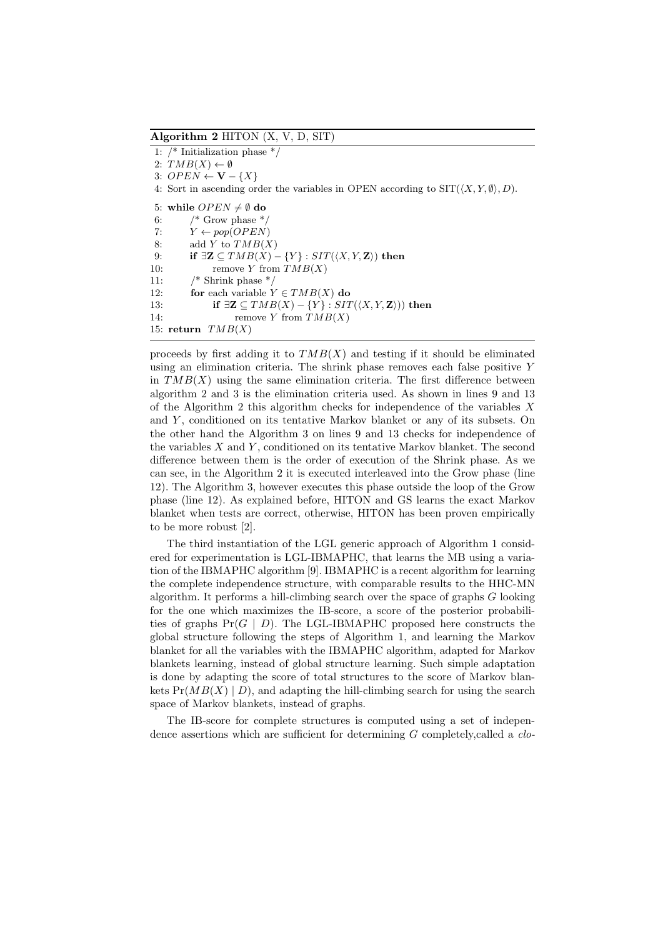**Algorithm 2** HITON (X, V, D, SIT)

1: /\* Initialization phase \*/ 2:  $TMB(X) \leftarrow \emptyset$ 3:  $OPEN \leftarrow \mathbf{V} - \{X\}$ 4: Sort in ascending order the variables in OPEN according to  $\text{SIT}(\langle X, Y, \emptyset \rangle, D)$ . 5: while  $OPEN \neq \emptyset$  do 6:  $/*$  Grow phase  $*$ 7:  $Y \leftarrow pop(OPEN)$ 8: add *Y* to  $TMB(X)$ 9: **if**  $\exists \mathbf{Z} \subseteq TMB(X) - \{Y\} : SIT(\langle X, Y, \mathbf{Z} \rangle)$  then 10: remove *Y* from *TMB*(*X*) 11: /\* Shrink phase \*/ 12: **for** each variable  $Y \in TMB(X)$  **do** 13: **if**  $\exists \mathbf{Z} \subseteq \mathit{TMB}(X) - \{Y\} : \mathit{SIT}(\langle X, Y, \mathbf{Z} \rangle)$  then 14: remove *Y* from *TMB*(*X*) 15: **return** *TMB*(*X*)

proceeds by first adding it to  $TMB(X)$  and testing if it should be eliminated using an elimination criteria. The shrink phase removes each false positive *Y* in  $TMB(X)$  using the same elimination criteria. The first difference between algorithm 2 and 3 is the elimination criteria used. As shown in lines 9 and 13 of the Algorithm 2 this algorithm checks for independence of the variables *X* and *Y* , conditioned on its tentative Markov blanket or any of its subsets. On the other hand the Algorithm 3 on lines 9 and 13 checks for independence of the variables *X* and *Y* , conditioned on its tentative Markov blanket. The second difference between them is the order of execution of the Shrink phase. As we can see, in the Algorithm 2 it is executed interleaved into the Grow phase (line 12). The Algorithm 3, however executes this phase outside the loop of the Grow phase (line 12). As explained before, HITON and GS learns the exact Markov blanket when tests are correct, otherwise, HITON has been proven empirically to be more robust [2].

The third instantiation of the LGL generic approach of Algorithm 1 considered for experimentation is LGL-IBMAPHC, that learns the MB using a variation of the IBMAPHC algorithm [9]. IBMAPHC is a recent algorithm for learning the complete independence structure, with comparable results to the HHC-MN algorithm. It performs a hill-climbing search over the space of graphs *G* looking for the one which maximizes the IB-score, a score of the posterior probabilities of graphs Pr(*G | D*). The LGL-IBMAPHC proposed here constructs the global structure following the steps of Algorithm 1, and learning the Markov blanket for all the variables with the IBMAPHC algorithm, adapted for Markov blankets learning, instead of global structure learning. Such simple adaptation is done by adapting the score of total structures to the score of Markov blankets  $Pr(MB(X) | D)$ , and adapting the hill-climbing search for using the search space of Markov blankets, instead of graphs.

The IB-score for complete structures is computed using a set of independence assertions which are sufficient for determining *G* completely,called a *clo-*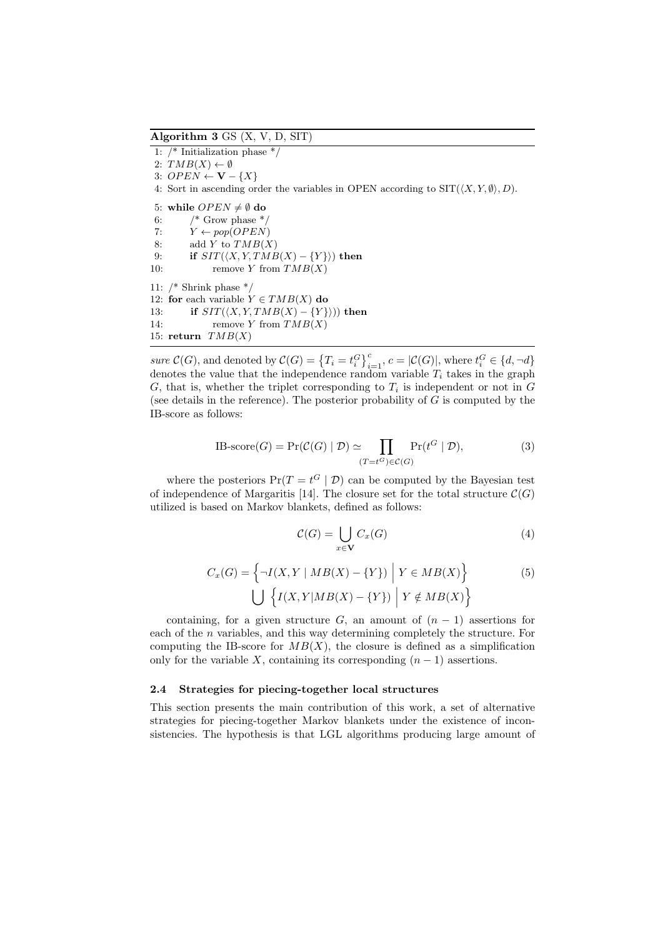**Algorithm 3** GS (X, V, D, SIT)

1: /\* Initialization phase \*/  $2: TMB(X) \leftarrow \emptyset$ 3:  $OPEN \leftarrow \mathbf{V} - \{X\}$ 4: Sort in ascending order the variables in OPEN according to  $\text{SIT}(\langle X, Y, \emptyset \rangle, D)$ . 5: while  $OPEN \neq \emptyset$  do 6:  $/*$  Grow phase  $*/$ 7:  $Y \leftarrow pop(OPEN)$ 8: add *Y* to  $TMB(X)$ 9: **if**  $SIT(\langle X, Y, TMB(X) - \{Y\}\rangle)$  then 10: remove *Y* from *TMB*(*X*) 11: /\* Shrink phase \*/ 12: **for** each variable  $Y \in TMB(X)$  **do** 13: **if**  $SIT(\langle X, Y, TMB(X) - \{Y\}\rangle)$  then 14: remove *Y* from  $TMB(X)$ 15: **return** *TMB*(*X*)

sure  $\mathcal{C}(G)$ , and denoted by  $\mathcal{C}(G) = \left\{T_i = t_i^G\right\}_{i=1}^c$ ,  $c = |\mathcal{C}(G)|$ , where  $t_i^G \in \{d, \neg d\}$ denotes the value that the independence random variable *T<sup>i</sup>* takes in the graph  $G$ , that is, whether the triplet corresponding to  $T_i$  is independent or not in  $G$ (see details in the reference). The posterior probability of *G* is computed by the IB-score as follows:

IB-score(*G*) = Pr(
$$
C(G) | \mathcal{D}
$$
) \simeq \prod\_{(T=t^G) \in C(G)} Pr(t^G | \mathcal{D}), (3)

where the posteriors  $Pr(T = t^G | \mathcal{D})$  can be computed by the Bayesian test of independence of Margaritis [14]. The closure set for the total structure  $C(G)$ utilized is based on Markov blankets, defined as follows:

$$
\mathcal{C}(G) = \bigcup_{x \in \mathbf{V}} C_x(G) \tag{4}
$$

$$
C_x(G) = \left\{ \neg I(X, Y \mid MB(X) - \{Y\}) \middle| Y \in MB(X) \right\}
$$
\n
$$
\bigcup \left\{ I(X, Y \mid MB(X) - \{Y\}) \middle| Y \notin MB(X) \right\}
$$
\n(5)

containing, for a given structure *G*, an amount of  $(n-1)$  assertions for each of the *n* variables, and this way determining completely the structure. For computing the IB-score for  $MB(X)$ , the closure is defined as a simplification only for the variable *X*, containing its corresponding  $(n-1)$  assertions.

### **2.4 Strategies for piecing-together local structures**

This section presents the main contribution of this work, a set of alternative strategies for piecing-together Markov blankets under the existence of inconsistencies. The hypothesis is that LGL algorithms producing large amount of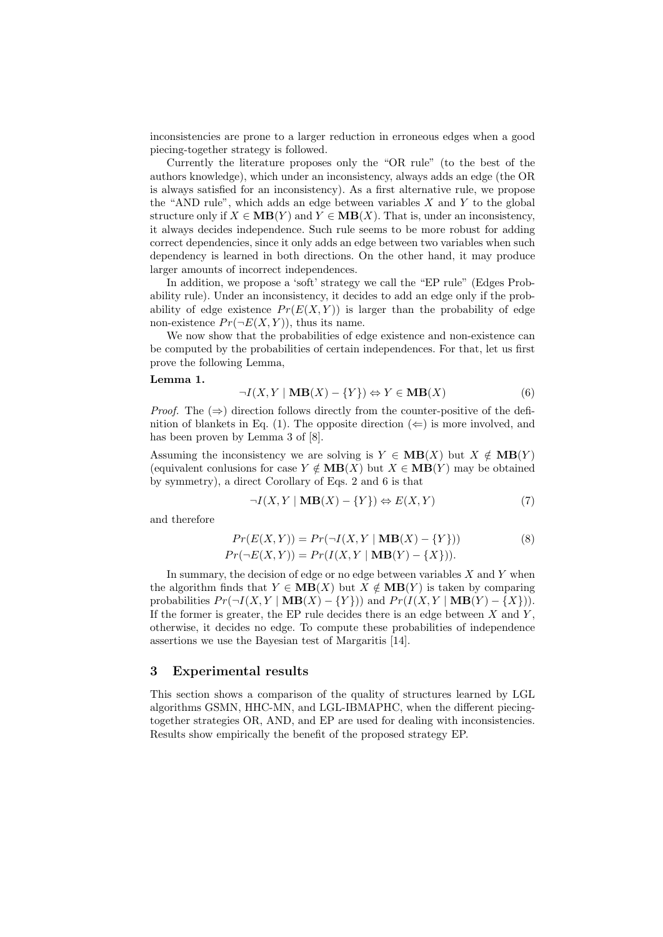inconsistencies are prone to a larger reduction in erroneous edges when a good piecing-together strategy is followed.

Currently the literature proposes only the "OR rule" (to the best of the authors knowledge), which under an inconsistency, always adds an edge (the OR is always satisfied for an inconsistency). As a first alternative rule, we propose the "AND rule", which adds an edge between variables *X* and *Y* to the global structure only if  $X \in MB(Y)$  and  $Y \in MB(X)$ . That is, under an inconsistency, it always decides independence. Such rule seems to be more robust for adding correct dependencies, since it only adds an edge between two variables when such dependency is learned in both directions. On the other hand, it may produce larger amounts of incorrect independences.

In addition, we propose a 'soft' strategy we call the "EP rule" (Edges Probability rule). Under an inconsistency, it decides to add an edge only if the probability of edge existence  $Pr(E(X, Y))$  is larger than the probability of edge non-existence  $Pr(\neg E(X, Y))$ , thus its name.

We now show that the probabilities of edge existence and non-existence can be computed by the probabilities of certain independences. For that, let us first prove the following Lemma,

#### **Lemma 1.**

$$
\neg I(X, Y \mid \mathbf{MB}(X) - \{Y\}) \Leftrightarrow Y \in \mathbf{MB}(X) \tag{6}
$$

*Proof.* The (⇒) direction follows directly from the counter-positive of the definition of blankets in Eq. (1). The opposite direction  $(\Leftarrow)$  is more involved, and has been proven by Lemma 3 of [8].

Assuming the inconsistency we are solving is  $Y \in MB(X)$  but  $X \notin MB(Y)$ (equivalent conlusions for case  $Y \notin MB(X)$  but  $X \in MB(Y)$  may be obtained by symmetry), a direct Corollary of Eqs. 2 and 6 is that

$$
\neg I(X, Y \mid \mathbf{MB}(X) - \{Y\}) \Leftrightarrow E(X, Y) \tag{7}
$$

and therefore

$$
Pr(E(X, Y)) = Pr(\neg I(X, Y | MB(X) - \{Y\}))
$$
\n
$$
Pr(\neg E(X, Y)) = Pr(I(X, Y | MB(Y) - \{X\})).
$$
\n(8)

In summary, the decision of edge or no edge between variables *X* and *Y* when the algorithm finds that  $Y \in MB(X)$  but  $X \notin MB(Y)$  is taken by comparing probabilities  $Pr(\neg I(X, Y | \mathbf{MB}(X) - \{Y\}))$  and  $Pr(I(X, Y | \mathbf{MB}(Y) - \{X\})).$ If the former is greater, the EP rule decides there is an edge between  $X$  and  $Y$ , otherwise, it decides no edge. To compute these probabilities of independence assertions we use the Bayesian test of Margaritis [14].

## **3 Experimental results**

This section shows a comparison of the quality of structures learned by LGL algorithms GSMN, HHC-MN, and LGL-IBMAPHC, when the different piecingtogether strategies OR, AND, and EP are used for dealing with inconsistencies. Results show empirically the benefit of the proposed strategy EP.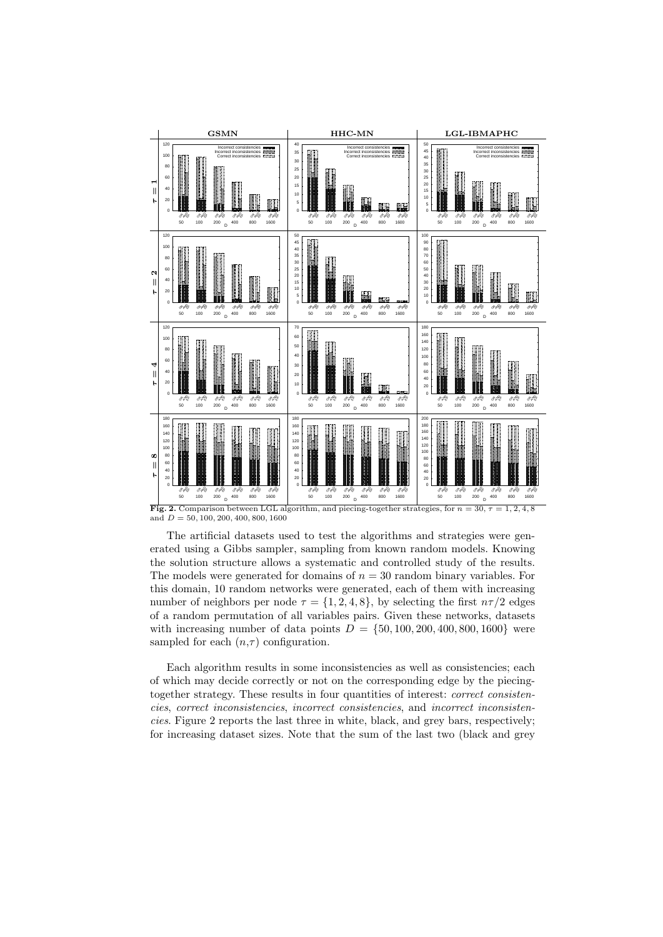

**Fig. 2.** Comparison between LGL algorithm, and piecing-together strategies, for  $n = 30$ ,  $\tau = 1, 2, 4, 8$ and *D* = 50*,* 100*,* 200*,* 400*,* 800*,* 1600

The artificial datasets used to test the algorithms and strategies were generated using a Gibbs sampler, sampling from known random models. Knowing the solution structure allows a systematic and controlled study of the results. The models were generated for domains of  $n = 30$  random binary variables. For this domain, 10 random networks were generated, each of them with increasing number of neighbors per node  $\tau = \{1, 2, 4, 8\}$ , by selecting the first  $n\tau/2$  edges of a random permutation of all variables pairs. Given these networks, datasets with increasing number of data points  $D = \{50, 100, 200, 400, 800, 1600\}$  were sampled for each  $(n, \tau)$  configuration.

Each algorithm results in some inconsistencies as well as consistencies; each of which may decide correctly or not on the corresponding edge by the piecingtogether strategy. These results in four quantities of interest: *correct consistencies*, *correct inconsistencies*, *incorrect consistencies*, and *incorrect inconsistencies*. Figure 2 reports the last three in white, black, and grey bars, respectively; for increasing dataset sizes. Note that the sum of the last two (black and grey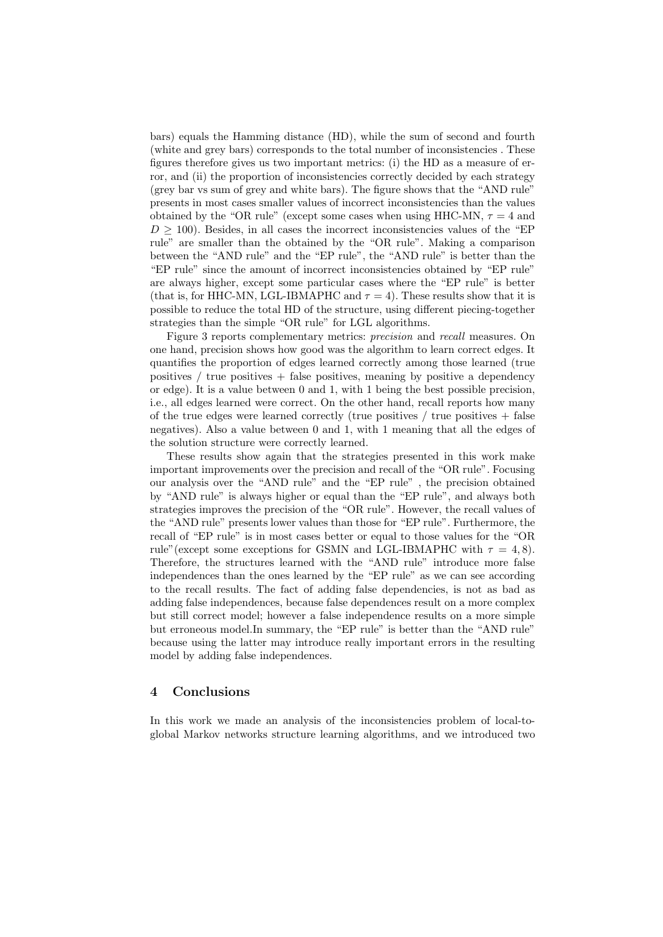bars) equals the Hamming distance (HD), while the sum of second and fourth (white and grey bars) corresponds to the total number of inconsistencies . These figures therefore gives us two important metrics: (i) the HD as a measure of error, and (ii) the proportion of inconsistencies correctly decided by each strategy (grey bar vs sum of grey and white bars). The figure shows that the "AND rule" presents in most cases smaller values of incorrect inconsistencies than the values obtained by the "OR rule" (except some cases when using HHC-MN,  $\tau = 4$  and  $D \geq 100$ ). Besides, in all cases the incorrect inconsistencies values of the "EP rule" are smaller than the obtained by the "OR rule". Making a comparison between the "AND rule" and the "EP rule", the "AND rule" is better than the "EP rule" since the amount of incorrect inconsistencies obtained by "EP rule" are always higher, except some particular cases where the "EP rule" is better (that is, for HHC-MN, LGL-IBMAPHC and  $\tau = 4$ ). These results show that it is possible to reduce the total HD of the structure, using different piecing-together strategies than the simple "OR rule" for LGL algorithms.

Figure 3 reports complementary metrics: *precision* and *recall* measures. On one hand, precision shows how good was the algorithm to learn correct edges. It quantifies the proportion of edges learned correctly among those learned (true positives  $/$  true positives  $+$  false positives, meaning by positive a dependency or edge). It is a value between 0 and 1, with 1 being the best possible precision, i.e., all edges learned were correct. On the other hand, recall reports how many of the true edges were learned correctly (true positives  $/$  true positives  $+$  false negatives). Also a value between 0 and 1, with 1 meaning that all the edges of the solution structure were correctly learned.

These results show again that the strategies presented in this work make important improvements over the precision and recall of the "OR rule". Focusing our analysis over the "AND rule" and the "EP rule" , the precision obtained by "AND rule" is always higher or equal than the "EP rule", and always both strategies improves the precision of the "OR rule". However, the recall values of the "AND rule" presents lower values than those for "EP rule". Furthermore, the recall of "EP rule" is in most cases better or equal to those values for the "OR rule"(except some exceptions for GSMN and LGL-IBMAPHC with  $\tau = 4, 8$ ). Therefore, the structures learned with the "AND rule" introduce more false independences than the ones learned by the "EP rule" as we can see according to the recall results. The fact of adding false dependencies, is not as bad as adding false independences, because false dependences result on a more complex but still correct model; however a false independence results on a more simple but erroneous model.In summary, the "EP rule" is better than the "AND rule" because using the latter may introduce really important errors in the resulting model by adding false independences.

## **4 Conclusions**

In this work we made an analysis of the inconsistencies problem of local-toglobal Markov networks structure learning algorithms, and we introduced two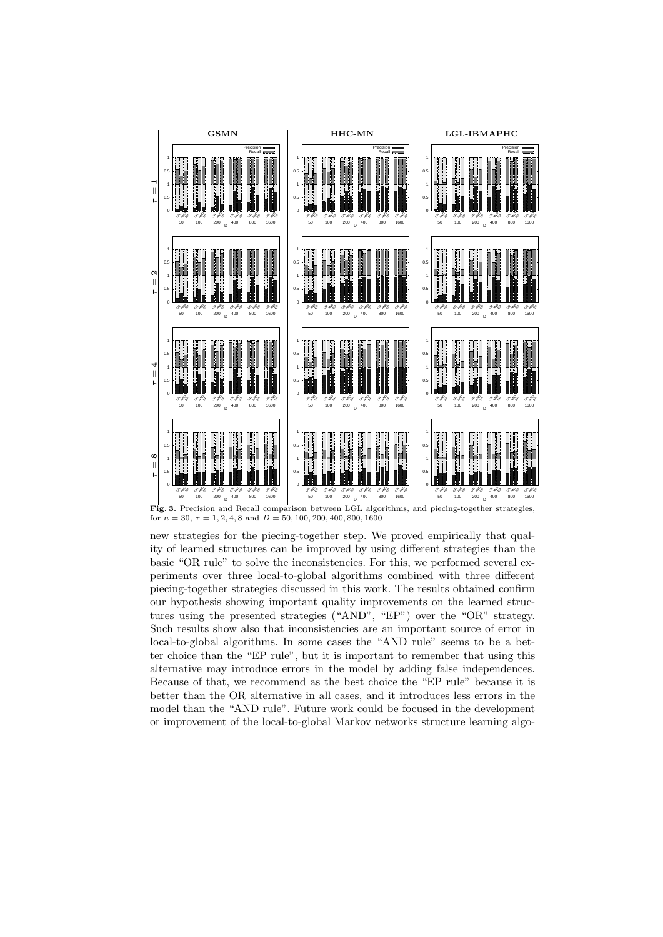

**Fig. 3.** Precision and Recall comparison between LGL algorithms, and piecing-together strategies, for  $n = 30, \tau = 1, 2, 4, 8$  and  $D = 50, 100, 200, 400, 800, 1600$ 

new strategies for the piecing-together step. We proved empirically that quality of learned structures can be improved by using different strategies than the basic "OR rule" to solve the inconsistencies. For this, we performed several experiments over three local-to-global algorithms combined with three different piecing-together strategies discussed in this work. The results obtained confirm our hypothesis showing important quality improvements on the learned structures using the presented strategies ("AND", "EP") over the "OR" strategy. Such results show also that inconsistencies are an important source of error in local-to-global algorithms. In some cases the "AND rule" seems to be a better choice than the "EP rule", but it is important to remember that using this alternative may introduce errors in the model by adding false independences. Because of that, we recommend as the best choice the "EP rule" because it is better than the OR alternative in all cases, and it introduces less errors in the model than the "AND rule". Future work could be focused in the development or improvement of the local-to-global Markov networks structure learning algo